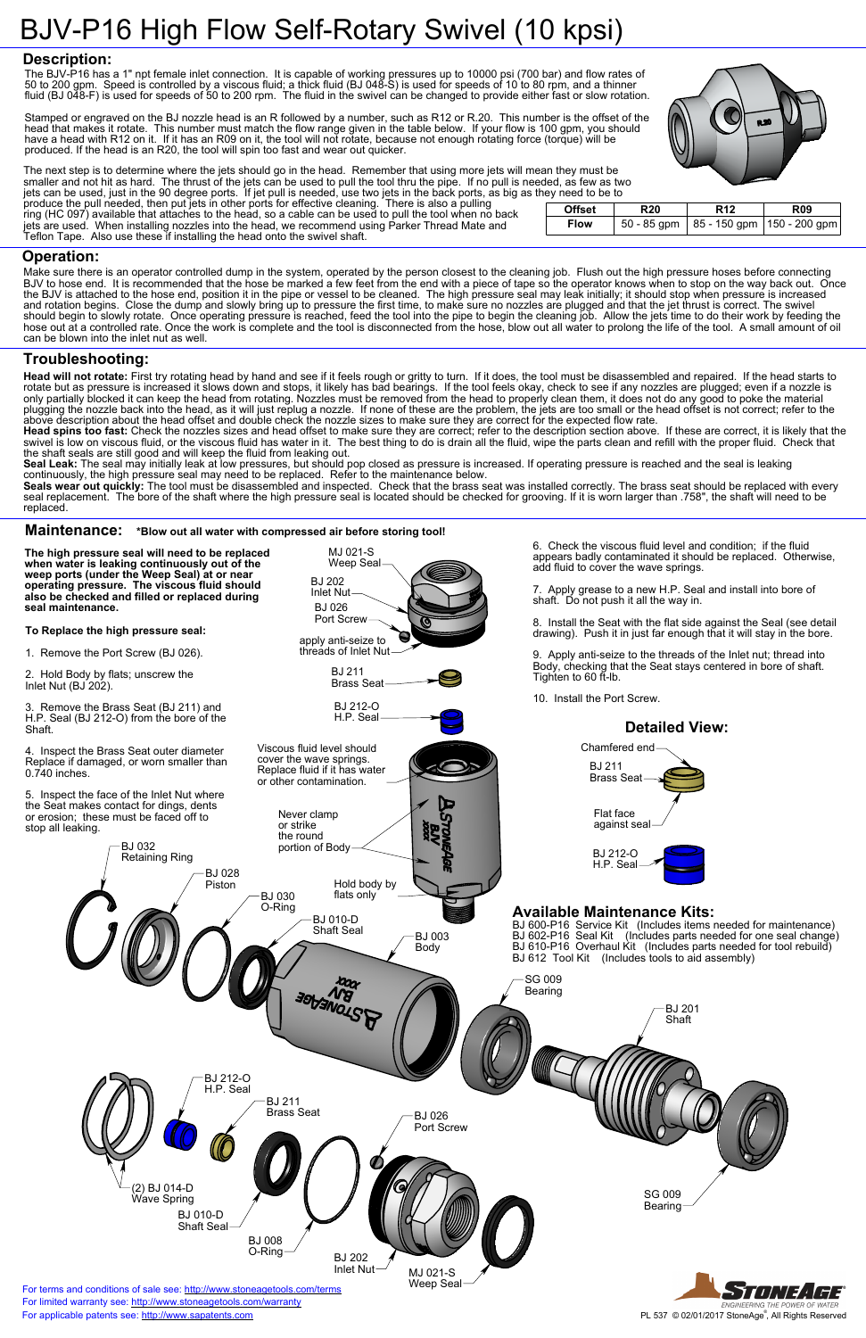BJ 032

Retaining Ring

BJ 028 Piston

#### SG 009

7. Apply grease to a new H.P. Seal and install into bore of shaft. Do not push it all the way in.

6. Check the viscous fluid level and condition; if the fluid appears badly contaminated it should be replaced. Otherwise, add fluid to cover the wave springs.

8. Install the Seat with the flat side against the Seal (see detail drawing). Push it in just far enough that it will stay in the bore.



2. Hold Body by flats; unscrew the Inlet Nut  $(BJ<sub>202</sub>)$ .

Remove the Brass Seat (BJ 211) and H.P. Seal (BJ 212-O) from the bore of the Shaft.

9. Apply anti-seize to the threads of the Inlet nut; thread into Body, checking that the Seat stays centered in bore of shaft. Tighten to 60 ft-lb.

10. Install the Port Screw.



MJ 021-S

**To Replace the high pressure seal:**

1. Remove the Port Screw (BJ 026).

4. Inspect the Brass Seat outer diameter Replace if damaged, or worn smaller than 0.740 inches.

5. Inspect the face of the Inlet Nut where the Seat makes contact for dings, dents or erosion; these must be faced off to stop all leaking.

Seal Leak: The seal may initially leak at low pressures, but should pop closed as pressure is increased. If operating pressure is reached and the seal is leaking continuously, the high pressure seal may need to be replaced. Refer to the maintenance below.

**The high pressure seal will need to be replaced when water is leaking continuously out of the weep ports (under the Weep Seal) at or near operating pressure. The viscous fluid should also be checked and filled or replaced during seal maintenance.**

Seals wear out quickly: The tool must be disassembled and inspected. Check that the brass seat was installed correctly. The brass seat should be replaced with every seal replacement. The bore of the shaft where the high pressure seal is located should be checked for grooving. If it is worn larger than .758", the shaft will need to be replaced.

# BJV-P16 High Flow Self-Rotary Swivel (10 kpsi)

### **Description:**

### **Operation:**

## **Troubleshooting:**

#### **Maintenance: \*Blow out all water with compressed air before storing tool!**

**Head will not rotate:** First try rotating head by hand and see if it feels rough or gritty to turn. If it does, the tool must be disassembled and repaired. If the head starts to rotate but as pressure is increased it slows down and stops, it likely has bad bearings. If the tool feels okay, check to see if any nozzles are plugged; even if a nozzle is only partially blocked it can keep the head from rotating. Nozzles must be removed from the head to properly clean them, it does not do any good to poke the material plugging the nozzle back into the head, as it will just replug a nozzle. If none of these are the problem, the jets are too small or the head offset is not correct; refer to the above description about the head offset and double check the nozzle sizes to make sure they are correct for the expected flow rate.

**Head spins too fast:** Check the nozzles sizes and head offset to make sure they are correct; refer to the description section above. If these are correct, it is likely that the swivel is low on viscous fluid, or the viscous fluid has water in it. The best thing to do is drain all the fluid, wipe the parts clean and refill with the proper fluid. Check that the shaft seals are still good and will keep the fluid from leaking out.



Make sure there is an operator controlled dump in the system, operated by the person closest to the cleaning job. Flush out the high pressure hoses before connecting BJV to hose end. It is recommended that the hose be marked a few feet from the end with a piece of tape so the operator knows when to stop on the way back out. Once the BJV is attached to the hose end, position it in the pipe or vessel to be cleaned. The high pressure seal may leak initially; it should stop when pressure is increased and rotation begins. Close the dump and slowly bring up to pressure the first time, to make sure no nozzles are plugged and that the jet thrust is correct. The swivel should begin to slowly rotate. Once operating pressure is reached, feed the tool into the pipe to begin the cleaning job. Allow the jets time to do their work by feeding the hose out at a controlled rate. Once the work is complete and the tool is disconnected from the hose, blow out all water to prolong the life of the tool. A small amount of oil can be blown into the inlet nut as well.

The next step is to determine where the jets should go in the head. Remember that using more jets will mean they must be smaller and not hit as hard. The thrust of the jets can be used to pull the tool thru the pipe. If no pull is needed, as few as two

jets can be used, just in the 90 degree ports. If jet pull is needed, use two jets in the back ports, as big as they need to be to produce the pull needed, then put jets in other ports for effective cleaning. There is also a pulling ring (HC 097) available that attaches to the head, so a cable can be used to pull the tool when no back **Offset R20 R12 R09** jets are used. When installing nozzles into the head, we recommend using Parker Thread Mate and Teflon Tape. Also use these if installing the head onto the swivel shaft.

| .             |            |            |                                            |
|---------------|------------|------------|--------------------------------------------|
| <b>Offset</b> | <b>R20</b> | <b>R12</b> | <b>R09</b>                                 |
| <b>Flow</b>   |            |            | 50 - 85 gpm   85 - 150 gpm   150 - 200 gpm |

The BJV-P16 has a 1" npt female inlet connection. It is capable of working pressures up to 10000 psi (700 bar) and flow rates of 50 to 200 gpm. Speed is controlled by a viscous fluid; a thick fluid (BJ 048-S) is used for speeds of 10 to 80 rpm, and a thinner fluid (BJ 048-F) is used for speeds of 50 to 200 rpm. The fluid in the swivel can be changed to provide either fast or slow rotation.

Stamped or engraved on the BJ nozzle head is an R followed by a number, such as R12 or R.20. This number is the offset of the head that makes it rotate. This number must match the flow range given in the table below. If your flow is 100 gpm, you should have a head with R12 on it. If it has an R09 on it, the tool will not rotate, because not enough rotating force (torque) will be produced. If the head is an R20, the tool will spin too fast and wear out quicker.



### **Available Maintenance Kits:**

BJ 600-P16 Service Kit (Includes items needed for maintenance) BJ 602-P16 Seal Kit (Includes parts needed for one seal change) BJ 610-P16 Overhaul Kit (Includes parts needed for tool rebuild) BJ 612 Tool Kit (Includes tools to aid assembly)